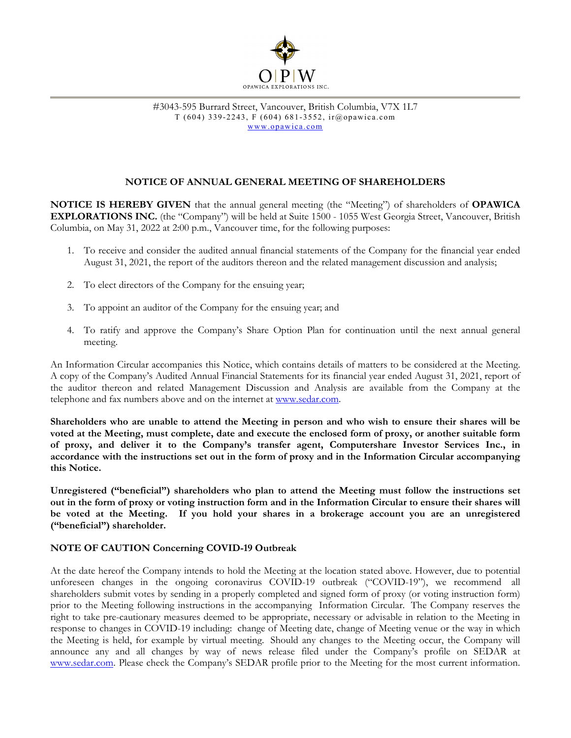

# **NOTICE OF ANNUAL GENERAL MEETING OF SHAREHOLDERS**

**NOTICE IS HEREBY GIVEN** that the annual general meeting (the "Meeting") of shareholders of **OPAWICA EXPLORATIONS INC.** (the "Company") will be held at Suite 1500 - 1055 West Georgia Street, Vancouver, British Columbia, on May 31, 2022 at 2:00 p.m., Vancouver time, for the following purposes:

- 1. To receive and consider the audited annual financial statements of the Company for the financial year ended August 31, 2021, the report of the auditors thereon and the related management discussion and analysis;
- 2. To elect directors of the Company for the ensuing year;
- 3. To appoint an auditor of the Company for the ensuing year; and
- 4. To ratify and approve the Company's Share Option Plan for continuation until the next annual general meeting.

An Information Circular accompanies this Notice, which contains details of matters to be considered at the Meeting. A copy of the Company's Audited Annual Financial Statements for its financial year ended August 31, 2021, report of the auditor thereon and related Management Discussion and Analysis are available from the Company at the telephone and fax numbers above and on the internet at www.sedar.com.

**Shareholders who are unable to attend the Meeting in person and who wish to ensure their shares will be voted at the Meeting, must complete, date and execute the enclosed form of proxy, or another suitable form of proxy, and deliver it to the Company's transfer agent, Computershare Investor Services Inc., in accordance with the instructions set out in the form of proxy and in the Information Circular accompanying this Notice.** 

**Unregistered ("beneficial") shareholders who plan to attend the Meeting must follow the instructions set out in the form of proxy or voting instruction form and in the Information Circular to ensure their shares will be voted at the Meeting. If you hold your shares in a brokerage account you are an unregistered ("beneficial") shareholder.** 

# **NOTE OF CAUTION Concerning COVID-19 Outbreak**

At the date hereof the Company intends to hold the Meeting at the location stated above. However, due to potential unforeseen changes in the ongoing coronavirus COVID-19 outbreak ("COVID-19"), we recommend all shareholders submit votes by sending in a properly completed and signed form of proxy (or voting instruction form) prior to the Meeting following instructions in the accompanying Information Circular. The Company reserves the right to take pre-cautionary measures deemed to be appropriate, necessary or advisable in relation to the Meeting in response to changes in COVID-19 including: change of Meeting date, change of Meeting venue or the way in which the Meeting is held, for example by virtual meeting. Should any changes to the Meeting occur, the Company will announce any and all changes by way of news release filed under the Company's profile on SEDAR at www.sedar.com. Please check the Company's SEDAR profile prior to the Meeting for the most current information.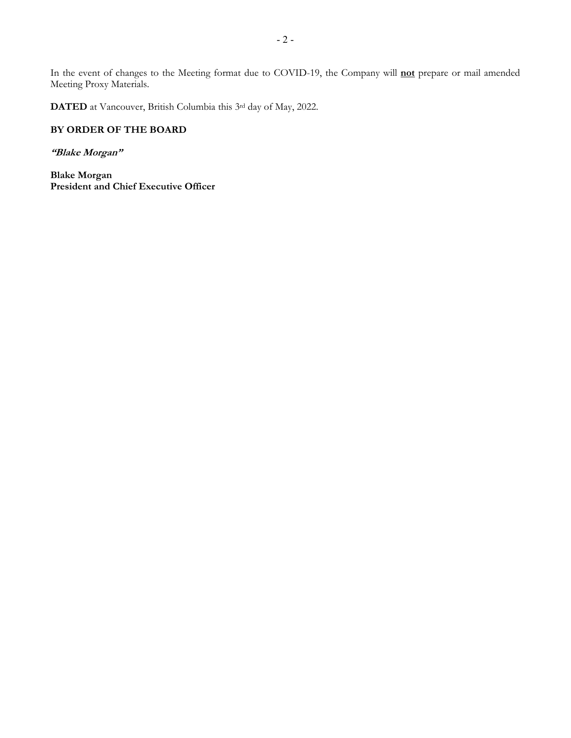In the event of changes to the Meeting format due to COVID-19, the Company will **not** prepare or mail amended Meeting Proxy Materials.

**DATED** at Vancouver, British Columbia this 3rd day of May, 2022.

# **BY ORDER OF THE BOARD**

#### **"Blake Morgan"**

**Blake Morgan President and Chief Executive Officer**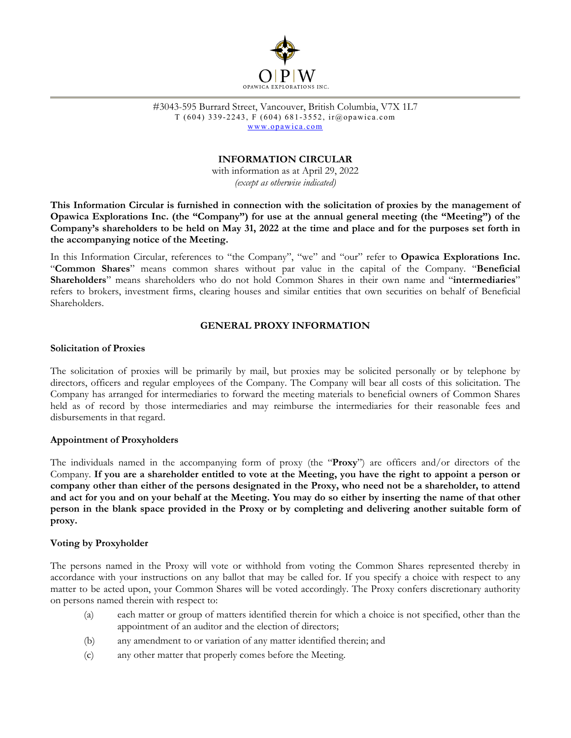

#3043-595 Burrard Street, Vancouver, British Columbia, V7X 1L7 T (604) 339-2243, F (604) 681-3552, ir@opawica.com www.opawica.com

# **INFORMATION CIRCULAR**

with information as at April 29, 2022 *(except as otherwise indicated)* 

**This Information Circular is furnished in connection with the solicitation of proxies by the management of Opawica Explorations Inc. (the "Company") for use at the annual general meeting (the "Meeting") of the Company's shareholders to be held on May 31, 2022 at the time and place and for the purposes set forth in the accompanying notice of the Meeting.** 

In this Information Circular, references to "the Company", "we" and "our" refer to **Opawica Explorations Inc.**  "**Common Shares**" means common shares without par value in the capital of the Company. "**Beneficial Shareholders**" means shareholders who do not hold Common Shares in their own name and "**intermediaries**" refers to brokers, investment firms, clearing houses and similar entities that own securities on behalf of Beneficial Shareholders.

#### **GENERAL PROXY INFORMATION**

#### **Solicitation of Proxies**

The solicitation of proxies will be primarily by mail, but proxies may be solicited personally or by telephone by directors, officers and regular employees of the Company. The Company will bear all costs of this solicitation. The Company has arranged for intermediaries to forward the meeting materials to beneficial owners of Common Shares held as of record by those intermediaries and may reimburse the intermediaries for their reasonable fees and disbursements in that regard.

#### **Appointment of Proxyholders**

The individuals named in the accompanying form of proxy (the "**Proxy**") are officers and/or directors of the Company. **If you are a shareholder entitled to vote at the Meeting, you have the right to appoint a person or company other than either of the persons designated in the Proxy, who need not be a shareholder, to attend and act for you and on your behalf at the Meeting. You may do so either by inserting the name of that other person in the blank space provided in the Proxy or by completing and delivering another suitable form of proxy.** 

#### **Voting by Proxyholder**

The persons named in the Proxy will vote or withhold from voting the Common Shares represented thereby in accordance with your instructions on any ballot that may be called for. If you specify a choice with respect to any matter to be acted upon, your Common Shares will be voted accordingly. The Proxy confers discretionary authority on persons named therein with respect to:

- (a) each matter or group of matters identified therein for which a choice is not specified, other than the appointment of an auditor and the election of directors;
- (b) any amendment to or variation of any matter identified therein; and
- (c) any other matter that properly comes before the Meeting.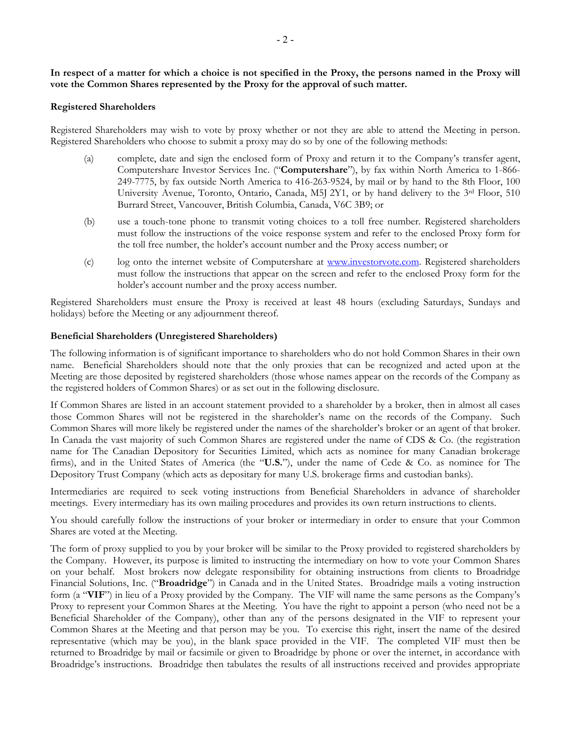**In respect of a matter for which a choice is not specified in the Proxy, the persons named in the Proxy will vote the Common Shares represented by the Proxy for the approval of such matter.** 

#### **Registered Shareholders**

Registered Shareholders may wish to vote by proxy whether or not they are able to attend the Meeting in person. Registered Shareholders who choose to submit a proxy may do so by one of the following methods:

- (a) complete, date and sign the enclosed form of Proxy and return it to the Company's transfer agent, Computershare Investor Services Inc. ("**Computershare**"), by fax within North America to 1-866- 249-7775, by fax outside North America to 416-263-9524, by mail or by hand to the 8th Floor, 100 University Avenue, Toronto, Ontario, Canada, M5J 2Y1, or by hand delivery to the 3<sup>rd</sup> Floor, 510 Burrard Street, Vancouver, British Columbia, Canada, V6C 3B9; or
- (b) use a touch-tone phone to transmit voting choices to a toll free number. Registered shareholders must follow the instructions of the voice response system and refer to the enclosed Proxy form for the toll free number, the holder's account number and the Proxy access number; or
- (c) log onto the internet website of Computershare at www.investorvote.com. Registered shareholders must follow the instructions that appear on the screen and refer to the enclosed Proxy form for the holder's account number and the proxy access number.

Registered Shareholders must ensure the Proxy is received at least 48 hours (excluding Saturdays, Sundays and holidays) before the Meeting or any adjournment thereof.

#### **Beneficial Shareholders (Unregistered Shareholders)**

The following information is of significant importance to shareholders who do not hold Common Shares in their own name. Beneficial Shareholders should note that the only proxies that can be recognized and acted upon at the Meeting are those deposited by registered shareholders (those whose names appear on the records of the Company as the registered holders of Common Shares) or as set out in the following disclosure.

If Common Shares are listed in an account statement provided to a shareholder by a broker, then in almost all cases those Common Shares will not be registered in the shareholder's name on the records of the Company. Such Common Shares will more likely be registered under the names of the shareholder's broker or an agent of that broker. In Canada the vast majority of such Common Shares are registered under the name of CDS & Co. (the registration name for The Canadian Depository for Securities Limited, which acts as nominee for many Canadian brokerage firms), and in the United States of America (the "**U.S.**"), under the name of Cede & Co. as nominee for The Depository Trust Company (which acts as depositary for many U.S. brokerage firms and custodian banks).

Intermediaries are required to seek voting instructions from Beneficial Shareholders in advance of shareholder meetings. Every intermediary has its own mailing procedures and provides its own return instructions to clients.

You should carefully follow the instructions of your broker or intermediary in order to ensure that your Common Shares are voted at the Meeting.

The form of proxy supplied to you by your broker will be similar to the Proxy provided to registered shareholders by the Company. However, its purpose is limited to instructing the intermediary on how to vote your Common Shares on your behalf. Most brokers now delegate responsibility for obtaining instructions from clients to Broadridge Financial Solutions, Inc. ("**Broadridge**") in Canada and in the United States. Broadridge mails a voting instruction form (a "**VIF**") in lieu of a Proxy provided by the Company. The VIF will name the same persons as the Company's Proxy to represent your Common Shares at the Meeting. You have the right to appoint a person (who need not be a Beneficial Shareholder of the Company), other than any of the persons designated in the VIF to represent your Common Shares at the Meeting and that person may be you. To exercise this right, insert the name of the desired representative (which may be you), in the blank space provided in the VIF. The completed VIF must then be returned to Broadridge by mail or facsimile or given to Broadridge by phone or over the internet, in accordance with Broadridge's instructions. Broadridge then tabulates the results of all instructions received and provides appropriate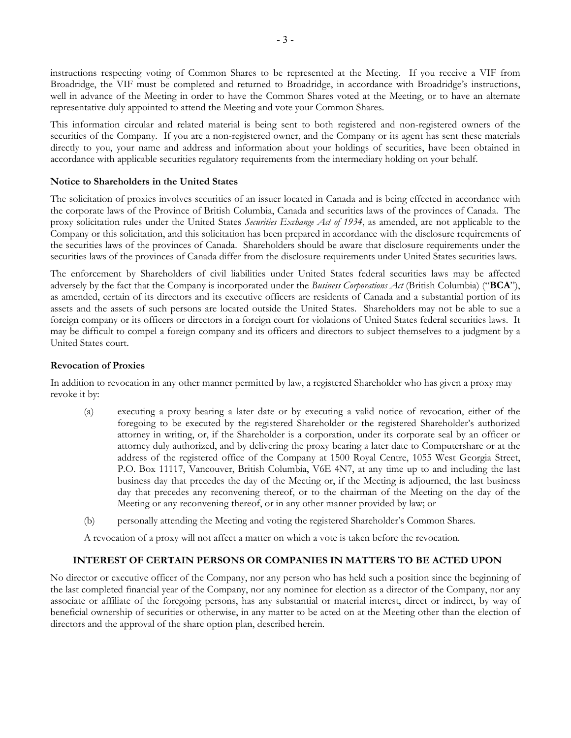instructions respecting voting of Common Shares to be represented at the Meeting. If you receive a VIF from Broadridge, the VIF must be completed and returned to Broadridge, in accordance with Broadridge's instructions, well in advance of the Meeting in order to have the Common Shares voted at the Meeting, or to have an alternate representative duly appointed to attend the Meeting and vote your Common Shares.

This information circular and related material is being sent to both registered and non-registered owners of the securities of the Company. If you are a non-registered owner, and the Company or its agent has sent these materials directly to you, your name and address and information about your holdings of securities, have been obtained in accordance with applicable securities regulatory requirements from the intermediary holding on your behalf.

#### **Notice to Shareholders in the United States**

The solicitation of proxies involves securities of an issuer located in Canada and is being effected in accordance with the corporate laws of the Province of British Columbia, Canada and securities laws of the provinces of Canada. The proxy solicitation rules under the United States *Securities Exchange Act of 1934*, as amended, are not applicable to the Company or this solicitation, and this solicitation has been prepared in accordance with the disclosure requirements of the securities laws of the provinces of Canada. Shareholders should be aware that disclosure requirements under the securities laws of the provinces of Canada differ from the disclosure requirements under United States securities laws.

The enforcement by Shareholders of civil liabilities under United States federal securities laws may be affected adversely by the fact that the Company is incorporated under the *Business Corporations Act* (British Columbia) ("**BCA**"), as amended, certain of its directors and its executive officers are residents of Canada and a substantial portion of its assets and the assets of such persons are located outside the United States. Shareholders may not be able to sue a foreign company or its officers or directors in a foreign court for violations of United States federal securities laws. It may be difficult to compel a foreign company and its officers and directors to subject themselves to a judgment by a United States court.

#### **Revocation of Proxies**

In addition to revocation in any other manner permitted by law, a registered Shareholder who has given a proxy may revoke it by:

- (a) executing a proxy bearing a later date or by executing a valid notice of revocation, either of the foregoing to be executed by the registered Shareholder or the registered Shareholder's authorized attorney in writing, or, if the Shareholder is a corporation, under its corporate seal by an officer or attorney duly authorized, and by delivering the proxy bearing a later date to Computershare or at the address of the registered office of the Company at 1500 Royal Centre, 1055 West Georgia Street, P.O. Box 11117, Vancouver, British Columbia, V6E 4N7, at any time up to and including the last business day that precedes the day of the Meeting or, if the Meeting is adjourned, the last business day that precedes any reconvening thereof, or to the chairman of the Meeting on the day of the Meeting or any reconvening thereof, or in any other manner provided by law; or
- (b) personally attending the Meeting and voting the registered Shareholder's Common Shares.

A revocation of a proxy will not affect a matter on which a vote is taken before the revocation.

# **INTEREST OF CERTAIN PERSONS OR COMPANIES IN MATTERS TO BE ACTED UPON**

No director or executive officer of the Company, nor any person who has held such a position since the beginning of the last completed financial year of the Company, nor any nominee for election as a director of the Company, nor any associate or affiliate of the foregoing persons, has any substantial or material interest, direct or indirect, by way of beneficial ownership of securities or otherwise, in any matter to be acted on at the Meeting other than the election of directors and the approval of the share option plan, described herein.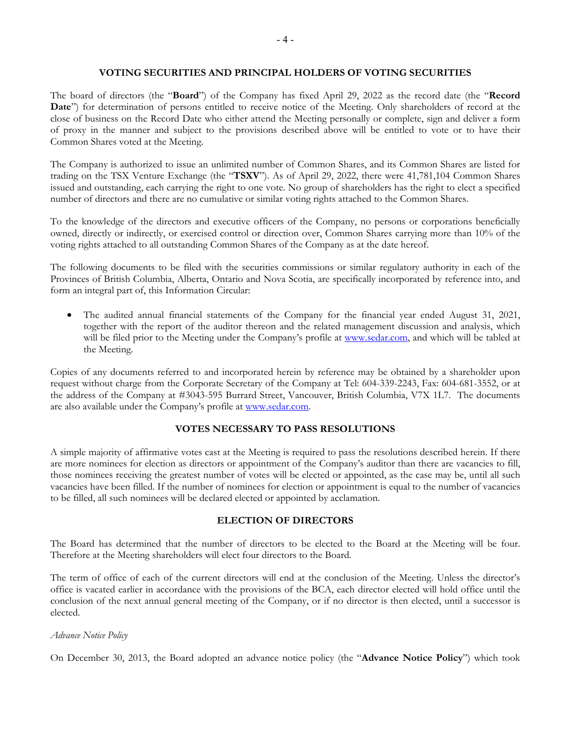#### **VOTING SECURITIES AND PRINCIPAL HOLDERS OF VOTING SECURITIES**

The board of directors (the "**Board**") of the Company has fixed April 29, 2022 as the record date (the "**Record**  Date") for determination of persons entitled to receive notice of the Meeting. Only shareholders of record at the close of business on the Record Date who either attend the Meeting personally or complete, sign and deliver a form of proxy in the manner and subject to the provisions described above will be entitled to vote or to have their Common Shares voted at the Meeting.

The Company is authorized to issue an unlimited number of Common Shares, and its Common Shares are listed for trading on the TSX Venture Exchange (the "**TSXV**"). As of April 29, 2022, there were 41,781,104 Common Shares issued and outstanding, each carrying the right to one vote. No group of shareholders has the right to elect a specified number of directors and there are no cumulative or similar voting rights attached to the Common Shares.

To the knowledge of the directors and executive officers of the Company, no persons or corporations beneficially owned, directly or indirectly, or exercised control or direction over, Common Shares carrying more than 10% of the voting rights attached to all outstanding Common Shares of the Company as at the date hereof.

The following documents to be filed with the securities commissions or similar regulatory authority in each of the Provinces of British Columbia, Alberta, Ontario and Nova Scotia, are specifically incorporated by reference into, and form an integral part of, this Information Circular:

 The audited annual financial statements of the Company for the financial year ended August 31, 2021, together with the report of the auditor thereon and the related management discussion and analysis, which will be filed prior to the Meeting under the Company's profile at www.sedar.com, and which will be tabled at the Meeting.

Copies of any documents referred to and incorporated herein by reference may be obtained by a shareholder upon request without charge from the Corporate Secretary of the Company at Tel: 604-339-2243, Fax: 604-681-3552, or at the address of the Company at #3043-595 Burrard Street, Vancouver, British Columbia, V7X 1L7. The documents are also available under the Company's profile at www.sedar.com.

# **VOTES NECESSARY TO PASS RESOLUTIONS**

A simple majority of affirmative votes cast at the Meeting is required to pass the resolutions described herein. If there are more nominees for election as directors or appointment of the Company's auditor than there are vacancies to fill, those nominees receiving the greatest number of votes will be elected or appointed, as the case may be, until all such vacancies have been filled. If the number of nominees for election or appointment is equal to the number of vacancies to be filled, all such nominees will be declared elected or appointed by acclamation.

#### **ELECTION OF DIRECTORS**

The Board has determined that the number of directors to be elected to the Board at the Meeting will be four. Therefore at the Meeting shareholders will elect four directors to the Board.

The term of office of each of the current directors will end at the conclusion of the Meeting. Unless the director's office is vacated earlier in accordance with the provisions of the BCA, each director elected will hold office until the conclusion of the next annual general meeting of the Company, or if no director is then elected, until a successor is elected.

#### *Advance Notice Policy*

On December 30, 2013, the Board adopted an advance notice policy (the "**Advance Notice Policy**") which took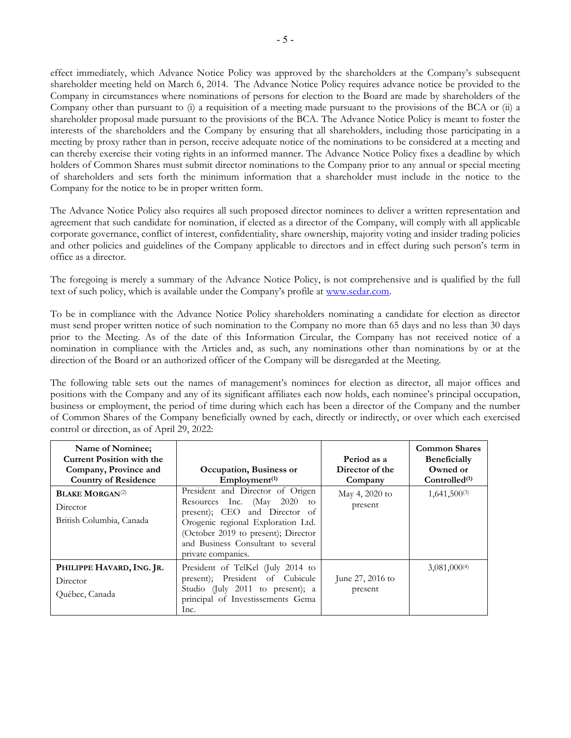effect immediately, which Advance Notice Policy was approved by the shareholders at the Company's subsequent shareholder meeting held on March 6, 2014. The Advance Notice Policy requires advance notice be provided to the Company in circumstances where nominations of persons for election to the Board are made by shareholders of the Company other than pursuant to (i) a requisition of a meeting made pursuant to the provisions of the BCA or (ii) a shareholder proposal made pursuant to the provisions of the BCA. The Advance Notice Policy is meant to foster the interests of the shareholders and the Company by ensuring that all shareholders, including those participating in a meeting by proxy rather than in person, receive adequate notice of the nominations to be considered at a meeting and can thereby exercise their voting rights in an informed manner. The Advance Notice Policy fixes a deadline by which holders of Common Shares must submit director nominations to the Company prior to any annual or special meeting of shareholders and sets forth the minimum information that a shareholder must include in the notice to the Company for the notice to be in proper written form.

The Advance Notice Policy also requires all such proposed director nominees to deliver a written representation and agreement that such candidate for nomination, if elected as a director of the Company, will comply with all applicable corporate governance, conflict of interest, confidentiality, share ownership, majority voting and insider trading policies and other policies and guidelines of the Company applicable to directors and in effect during such person's term in office as a director.

The foregoing is merely a summary of the Advance Notice Policy, is not comprehensive and is qualified by the full text of such policy, which is available under the Company's profile at www.sedar.com.

To be in compliance with the Advance Notice Policy shareholders nominating a candidate for election as director must send proper written notice of such nomination to the Company no more than 65 days and no less than 30 days prior to the Meeting. As of the date of this Information Circular, the Company has not received notice of a nomination in compliance with the Articles and, as such, any nominations other than nominations by or at the direction of the Board or an authorized officer of the Company will be disregarded at the Meeting.

The following table sets out the names of management's nominees for election as director, all major offices and positions with the Company and any of its significant affiliates each now holds, each nominee's principal occupation, business or employment, the period of time during which each has been a director of the Company and the number of Common Shares of the Company beneficially owned by each, directly or indirectly, or over which each exercised control or direction, as of April 29, 2022:

| Name of Nominee;<br><b>Current Position with the</b><br>Company, Province and<br><b>Country of Residence</b> | Occupation, Business or<br>Emplovement <sup>(1)</sup>                                                                                                                                                                                         | Period as a<br>Director of the<br>Company | <b>Common Shares</b><br><b>Beneficially</b><br>Owned or<br>$Controlled^{(1)}$ |
|--------------------------------------------------------------------------------------------------------------|-----------------------------------------------------------------------------------------------------------------------------------------------------------------------------------------------------------------------------------------------|-------------------------------------------|-------------------------------------------------------------------------------|
| <b>BLAKE MORGAN<sup>(2)</sup></b><br>Director<br>British Columbia, Canada                                    | President and Director of Origen<br>Resources Inc. (May 2020)<br>to<br>present); CEO and Director of<br>Orogenic regional Exploration Ltd.<br>(October 2019 to present); Director<br>and Business Consultant to several<br>private companies. | May 4, 2020 to<br>present                 | $1,641,500^{(3)}$                                                             |
| PHILIPPE HAVARD, ING. JR.<br>Director<br>Québec, Canada                                                      | President of TelKel (July 2014 to<br>present); President of Cubicule<br>Studio (July 2011 to present); a<br>principal of Investissements Gema<br>Inc.                                                                                         | June 27, 2016 to<br>present               | $3,081,000^{(4)}$                                                             |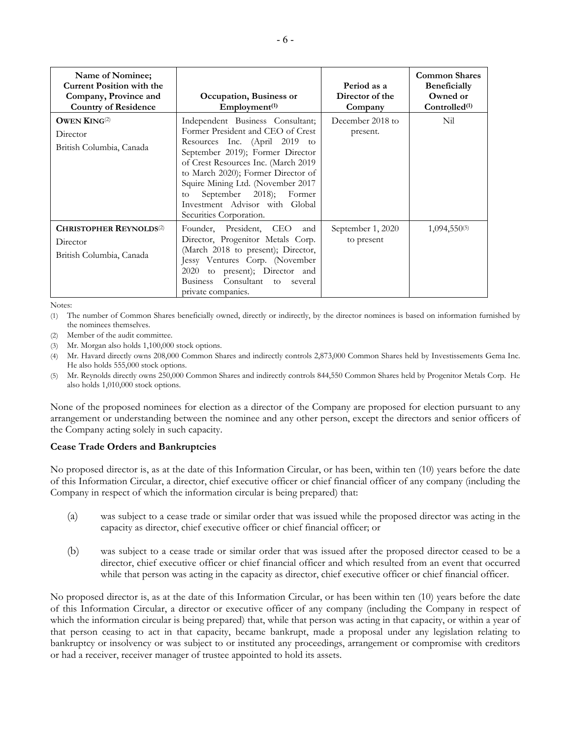| Name of Nominee;<br><b>Current Position with the</b><br>Company, Province and<br><b>Country of Residence</b> | Occupation, Business or<br>Emplovement <sup>(1)</sup>                                                                                                                                                                                                                                                                                                      | Period as a<br>Director of the<br>Company | <b>Common Shares</b><br><b>Beneficially</b><br>Owned or<br>Controlled <sup>(1)</sup> |
|--------------------------------------------------------------------------------------------------------------|------------------------------------------------------------------------------------------------------------------------------------------------------------------------------------------------------------------------------------------------------------------------------------------------------------------------------------------------------------|-------------------------------------------|--------------------------------------------------------------------------------------|
| OWEN $\text{KING}^{(2)}$<br>Director<br>British Columbia, Canada                                             | Independent Business Consultant;<br>Former President and CEO of Crest<br>Resources Inc. (April 2019 to<br>September 2019); Former Director<br>of Crest Resources Inc. (March 2019<br>to March 2020); Former Director of<br>Squire Mining Ltd. (November 2017<br>September 2018); Former<br>to<br>Investment Advisor with Global<br>Securities Corporation. | December 2018 to<br>present.              | Nil                                                                                  |
| <b>CHRISTOPHER REYNOLDS</b> <sup>(2)</sup><br>Director<br>British Columbia, Canada                           | Founder, President, CEO<br>and<br>Director, Progenitor Metals Corp.<br>(March 2018 to present); Director,<br>Jessy Ventures Corp. (November<br>to present); Director and<br>2020<br>Consultant to several<br><b>Business</b><br>private companies.                                                                                                         | September 1, 2020<br>to present           | $1,094,550^{(5)}$                                                                    |

Notes:

(1) The number of Common Shares beneficially owned, directly or indirectly, by the director nominees is based on information furnished by the nominees themselves.

- (2) Member of the audit committee.
- (3) Mr. Morgan also holds 1,100,000 stock options.
- Mr. Havard directly owns 208,000 Common Shares and indirectly controls 2,873,000 Common Shares held by Investissements Gema Inc. He also holds 555,000 stock options.
- (5) Mr. Reynolds directly owns 250,000 Common Shares and indirectly controls 844,550 Common Shares held by Progenitor Metals Corp. He also holds 1,010,000 stock options.

None of the proposed nominees for election as a director of the Company are proposed for election pursuant to any arrangement or understanding between the nominee and any other person, except the directors and senior officers of the Company acting solely in such capacity.

# **Cease Trade Orders and Bankruptcies**

No proposed director is, as at the date of this Information Circular, or has been, within ten (10) years before the date of this Information Circular, a director, chief executive officer or chief financial officer of any company (including the Company in respect of which the information circular is being prepared) that:

- (a) was subject to a cease trade or similar order that was issued while the proposed director was acting in the capacity as director, chief executive officer or chief financial officer; or
- (b) was subject to a cease trade or similar order that was issued after the proposed director ceased to be a director, chief executive officer or chief financial officer and which resulted from an event that occurred while that person was acting in the capacity as director, chief executive officer or chief financial officer.

No proposed director is, as at the date of this Information Circular, or has been within ten (10) years before the date of this Information Circular, a director or executive officer of any company (including the Company in respect of which the information circular is being prepared) that, while that person was acting in that capacity, or within a year of that person ceasing to act in that capacity, became bankrupt, made a proposal under any legislation relating to bankruptcy or insolvency or was subject to or instituted any proceedings, arrangement or compromise with creditors or had a receiver, receiver manager of trustee appointed to hold its assets.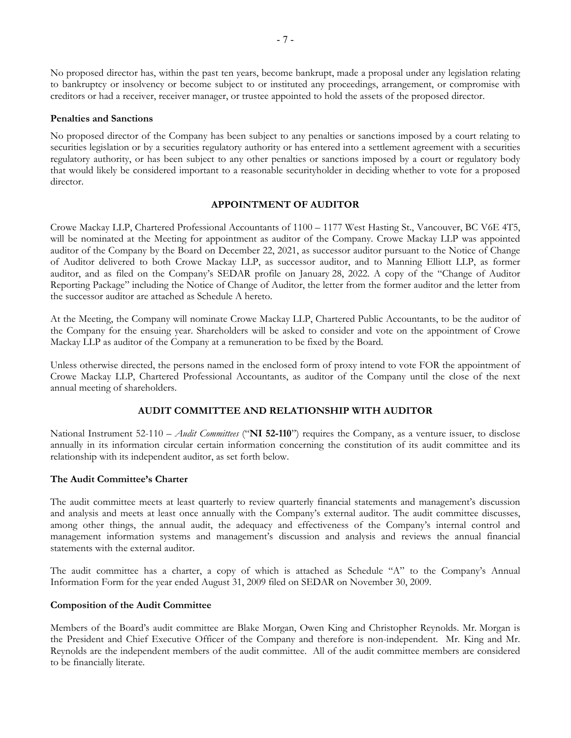No proposed director has, within the past ten years, become bankrupt, made a proposal under any legislation relating to bankruptcy or insolvency or become subject to or instituted any proceedings, arrangement, or compromise with creditors or had a receiver, receiver manager, or trustee appointed to hold the assets of the proposed director.

#### **Penalties and Sanctions**

No proposed director of the Company has been subject to any penalties or sanctions imposed by a court relating to securities legislation or by a securities regulatory authority or has entered into a settlement agreement with a securities regulatory authority, or has been subject to any other penalties or sanctions imposed by a court or regulatory body that would likely be considered important to a reasonable securityholder in deciding whether to vote for a proposed director.

#### **APPOINTMENT OF AUDITOR**

Crowe Mackay LLP, Chartered Professional Accountants of 1100 – 1177 West Hasting St., Vancouver, BC V6E 4T5, will be nominated at the Meeting for appointment as auditor of the Company. Crowe Mackay LLP was appointed auditor of the Company by the Board on December 22, 2021, as successor auditor pursuant to the Notice of Change of Auditor delivered to both Crowe Mackay LLP, as successor auditor, and to Manning Elliott LLP, as former auditor, and as filed on the Company's SEDAR profile on January 28, 2022. A copy of the "Change of Auditor Reporting Package" including the Notice of Change of Auditor, the letter from the former auditor and the letter from the successor auditor are attached as Schedule A hereto.

At the Meeting, the Company will nominate Crowe Mackay LLP, Chartered Public Accountants, to be the auditor of the Company for the ensuing year. Shareholders will be asked to consider and vote on the appointment of Crowe Mackay LLP as auditor of the Company at a remuneration to be fixed by the Board.

Unless otherwise directed, the persons named in the enclosed form of proxy intend to vote FOR the appointment of Crowe Mackay LLP, Chartered Professional Accountants, as auditor of the Company until the close of the next annual meeting of shareholders.

# **AUDIT COMMITTEE AND RELATIONSHIP WITH AUDITOR**

National Instrument 52-110 – *Audit Committees* ("**NI 52-110**") requires the Company, as a venture issuer, to disclose annually in its information circular certain information concerning the constitution of its audit committee and its relationship with its independent auditor, as set forth below.

# **The Audit Committee's Charter**

The audit committee meets at least quarterly to review quarterly financial statements and management's discussion and analysis and meets at least once annually with the Company's external auditor. The audit committee discusses, among other things, the annual audit, the adequacy and effectiveness of the Company's internal control and management information systems and management's discussion and analysis and reviews the annual financial statements with the external auditor.

The audit committee has a charter, a copy of which is attached as Schedule "A" to the Company's Annual Information Form for the year ended August 31, 2009 filed on SEDAR on November 30, 2009.

#### **Composition of the Audit Committee**

Members of the Board's audit committee are Blake Morgan, Owen King and Christopher Reynolds. Mr. Morgan is the President and Chief Executive Officer of the Company and therefore is non-independent. Mr. King and Mr. Reynolds are the independent members of the audit committee. All of the audit committee members are considered to be financially literate.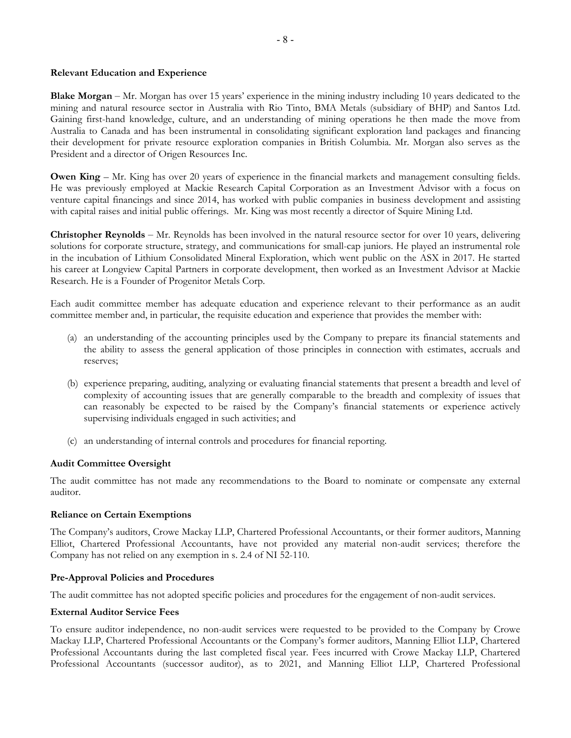#### **Relevant Education and Experience**

**Blake Morgan** – Mr. Morgan has over 15 years' experience in the mining industry including 10 years dedicated to the mining and natural resource sector in Australia with Rio Tinto, BMA Metals (subsidiary of BHP) and Santos Ltd. Gaining first-hand knowledge, culture, and an understanding of mining operations he then made the move from Australia to Canada and has been instrumental in consolidating significant exploration land packages and financing their development for private resource exploration companies in British Columbia. Mr. Morgan also serves as the President and a director of Origen Resources Inc.

**Owen King** – Mr. King has over 20 years of experience in the financial markets and management consulting fields. He was previously employed at Mackie Research Capital Corporation as an Investment Advisor with a focus on venture capital financings and since 2014, has worked with public companies in business development and assisting with capital raises and initial public offerings. Mr. King was most recently a director of Squire Mining Ltd.

**Christopher Reynolds** – Mr. Reynolds has been involved in the natural resource sector for over 10 years, delivering solutions for corporate structure, strategy, and communications for small-cap juniors. He played an instrumental role in the incubation of Lithium Consolidated Mineral Exploration, which went public on the ASX in 2017. He started his career at Longview Capital Partners in corporate development, then worked as an Investment Advisor at Mackie Research. He is a Founder of Progenitor Metals Corp.

Each audit committee member has adequate education and experience relevant to their performance as an audit committee member and, in particular, the requisite education and experience that provides the member with:

- (a) an understanding of the accounting principles used by the Company to prepare its financial statements and the ability to assess the general application of those principles in connection with estimates, accruals and reserves;
- (b) experience preparing, auditing, analyzing or evaluating financial statements that present a breadth and level of complexity of accounting issues that are generally comparable to the breadth and complexity of issues that can reasonably be expected to be raised by the Company's financial statements or experience actively supervising individuals engaged in such activities; and
- (c) an understanding of internal controls and procedures for financial reporting.

# **Audit Committee Oversight**

The audit committee has not made any recommendations to the Board to nominate or compensate any external auditor.

#### **Reliance on Certain Exemptions**

The Company's auditors, Crowe Mackay LLP, Chartered Professional Accountants, or their former auditors, Manning Elliot, Chartered Professional Accountants, have not provided any material non-audit services; therefore the Company has not relied on any exemption in s. 2.4 of NI 52-110.

#### **Pre-Approval Policies and Procedures**

The audit committee has not adopted specific policies and procedures for the engagement of non-audit services.

#### **External Auditor Service Fees**

To ensure auditor independence, no non-audit services were requested to be provided to the Company by Crowe Mackay LLP, Chartered Professional Accountants or the Company's former auditors, Manning Elliot LLP, Chartered Professional Accountants during the last completed fiscal year. Fees incurred with Crowe Mackay LLP, Chartered Professional Accountants (successor auditor), as to 2021, and Manning Elliot LLP, Chartered Professional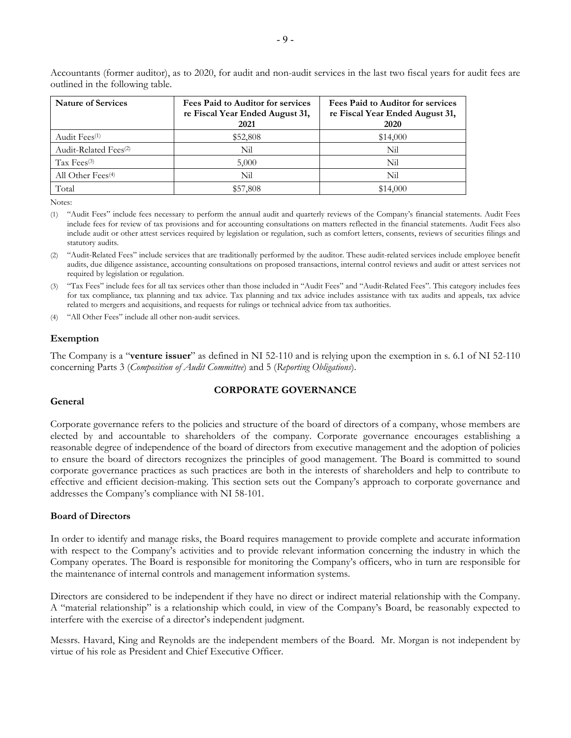| <b>Nature of Services</b>         | Fees Paid to Auditor for services<br>re Fiscal Year Ended August 31,<br>2021 | <b>Fees Paid to Auditor for services</b><br>re Fiscal Year Ended August 31,<br><b>2020</b> |  |  |
|-----------------------------------|------------------------------------------------------------------------------|--------------------------------------------------------------------------------------------|--|--|
| Audit Fees <sup>(1)</sup>         | \$52,808                                                                     | \$14,000                                                                                   |  |  |
| Audit-Related Fees <sup>(2)</sup> | Nil                                                                          | Nil                                                                                        |  |  |
| $\text{Tax}$ Fees <sup>(3)</sup>  | 5,000                                                                        | Nil                                                                                        |  |  |
| All Other Fees <sup>(4)</sup>     | Nil                                                                          | Nil                                                                                        |  |  |
| Total                             | \$57,808                                                                     | \$14,000                                                                                   |  |  |

Accountants (former auditor), as to 2020, for audit and non-audit services in the last two fiscal years for audit fees are outlined in the following table.

Notes:

- (1) "Audit Fees" include fees necessary to perform the annual audit and quarterly reviews of the Company's financial statements. Audit Fees include fees for review of tax provisions and for accounting consultations on matters reflected in the financial statements. Audit Fees also include audit or other attest services required by legislation or regulation, such as comfort letters, consents, reviews of securities filings and statutory audits.
- (2) "Audit-Related Fees" include services that are traditionally performed by the auditor. These audit-related services include employee benefit audits, due diligence assistance, accounting consultations on proposed transactions, internal control reviews and audit or attest services not required by legislation or regulation.
- (3) "Tax Fees" include fees for all tax services other than those included in "Audit Fees" and "Audit-Related Fees". This category includes fees for tax compliance, tax planning and tax advice. Tax planning and tax advice includes assistance with tax audits and appeals, tax advice related to mergers and acquisitions, and requests for rulings or technical advice from tax authorities.

(4) "All Other Fees" include all other non-audit services.

#### **Exemption**

The Company is a "**venture issuer**" as defined in NI 52-110 and is relying upon the exemption in s. 6.1 of NI 52-110 concerning Parts 3 (*Composition of Audit Committee*) and 5 (*Reporting Obligations*).

#### **CORPORATE GOVERNANCE**

#### **General**

Corporate governance refers to the policies and structure of the board of directors of a company, whose members are elected by and accountable to shareholders of the company. Corporate governance encourages establishing a reasonable degree of independence of the board of directors from executive management and the adoption of policies to ensure the board of directors recognizes the principles of good management. The Board is committed to sound corporate governance practices as such practices are both in the interests of shareholders and help to contribute to effective and efficient decision-making. This section sets out the Company's approach to corporate governance and addresses the Company's compliance with NI 58-101.

#### **Board of Directors**

In order to identify and manage risks, the Board requires management to provide complete and accurate information with respect to the Company's activities and to provide relevant information concerning the industry in which the Company operates. The Board is responsible for monitoring the Company's officers, who in turn are responsible for the maintenance of internal controls and management information systems.

Directors are considered to be independent if they have no direct or indirect material relationship with the Company. A "material relationship" is a relationship which could, in view of the Company's Board, be reasonably expected to interfere with the exercise of a director's independent judgment.

Messrs. Havard, King and Reynolds are the independent members of the Board. Mr. Morgan is not independent by virtue of his role as President and Chief Executive Officer.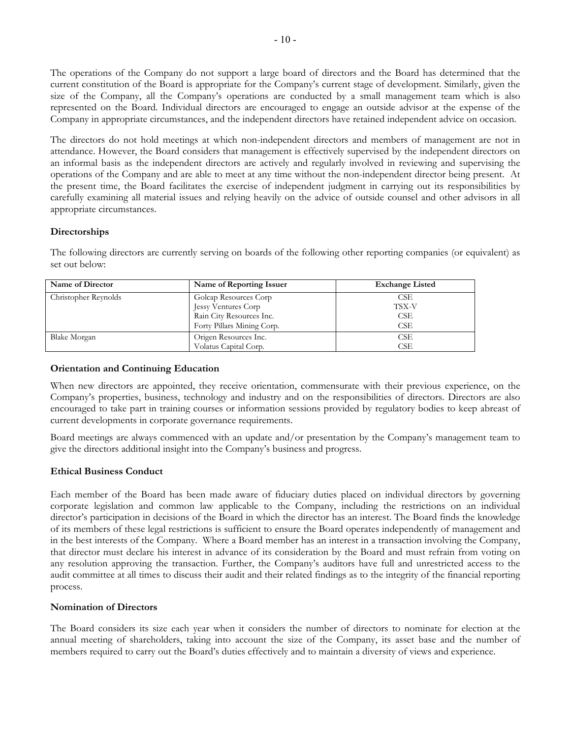The operations of the Company do not support a large board of directors and the Board has determined that the current constitution of the Board is appropriate for the Company's current stage of development. Similarly, given the size of the Company, all the Company's operations are conducted by a small management team which is also represented on the Board. Individual directors are encouraged to engage an outside advisor at the expense of the Company in appropriate circumstances, and the independent directors have retained independent advice on occasion.

The directors do not hold meetings at which non-independent directors and members of management are not in attendance. However, the Board considers that management is effectively supervised by the independent directors on an informal basis as the independent directors are actively and regularly involved in reviewing and supervising the operations of the Company and are able to meet at any time without the non-independent director being present. At the present time, the Board facilitates the exercise of independent judgment in carrying out its responsibilities by carefully examining all material issues and relying heavily on the advice of outside counsel and other advisors in all appropriate circumstances.

# **Directorships**

| Name of Director     | Name of Reporting Issuer   | <b>Exchange Listed</b> |
|----------------------|----------------------------|------------------------|
| Christopher Reynolds | Golcap Resources Corp      | CSE                    |
|                      | Jessy Ventures Corp        | TSX-V                  |
|                      | Rain City Resources Inc.   | CSE                    |
|                      | Forty Pillars Mining Corp. | CSE                    |
| Blake Morgan         | Origen Resources Inc.      | <b>CSE</b>             |
|                      | Volatus Capital Corp.      | CSE                    |

The following directors are currently serving on boards of the following other reporting companies (or equivalent) as set out below:

#### **Orientation and Continuing Education**

When new directors are appointed, they receive orientation, commensurate with their previous experience, on the Company's properties, business, technology and industry and on the responsibilities of directors. Directors are also encouraged to take part in training courses or information sessions provided by regulatory bodies to keep abreast of current developments in corporate governance requirements.

Board meetings are always commenced with an update and/or presentation by the Company's management team to give the directors additional insight into the Company's business and progress.

#### **Ethical Business Conduct**

Each member of the Board has been made aware of fiduciary duties placed on individual directors by governing corporate legislation and common law applicable to the Company, including the restrictions on an individual director's participation in decisions of the Board in which the director has an interest. The Board finds the knowledge of its members of these legal restrictions is sufficient to ensure the Board operates independently of management and in the best interests of the Company. Where a Board member has an interest in a transaction involving the Company, that director must declare his interest in advance of its consideration by the Board and must refrain from voting on any resolution approving the transaction. Further, the Company's auditors have full and unrestricted access to the audit committee at all times to discuss their audit and their related findings as to the integrity of the financial reporting process.

#### **Nomination of Directors**

The Board considers its size each year when it considers the number of directors to nominate for election at the annual meeting of shareholders, taking into account the size of the Company, its asset base and the number of members required to carry out the Board's duties effectively and to maintain a diversity of views and experience.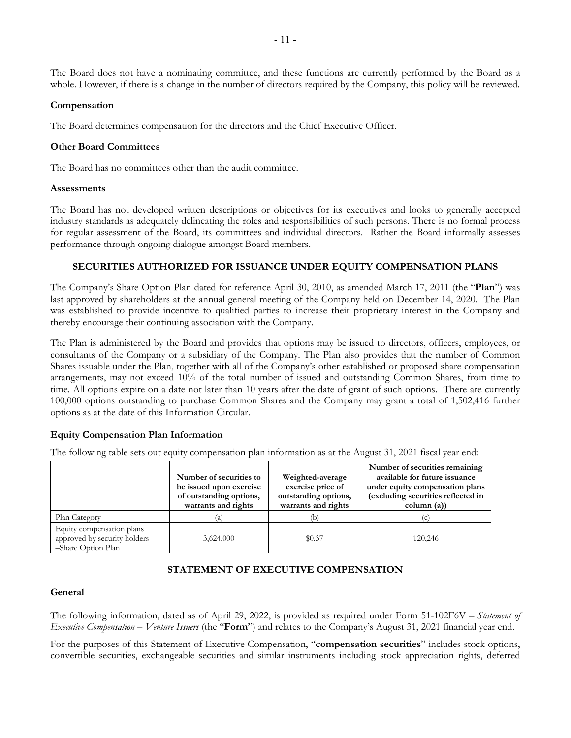The Board does not have a nominating committee, and these functions are currently performed by the Board as a whole. However, if there is a change in the number of directors required by the Company, this policy will be reviewed.

#### **Compensation**

The Board determines compensation for the directors and the Chief Executive Officer.

#### **Other Board Committees**

The Board has no committees other than the audit committee.

#### **Assessments**

The Board has not developed written descriptions or objectives for its executives and looks to generally accepted industry standards as adequately delineating the roles and responsibilities of such persons. There is no formal process for regular assessment of the Board, its committees and individual directors. Rather the Board informally assesses performance through ongoing dialogue amongst Board members.

#### **SECURITIES AUTHORIZED FOR ISSUANCE UNDER EQUITY COMPENSATION PLANS**

The Company's Share Option Plan dated for reference April 30, 2010, as amended March 17, 2011 (the "**Plan**") was last approved by shareholders at the annual general meeting of the Company held on December 14, 2020. The Plan was established to provide incentive to qualified parties to increase their proprietary interest in the Company and thereby encourage their continuing association with the Company.

The Plan is administered by the Board and provides that options may be issued to directors, officers, employees, or consultants of the Company or a subsidiary of the Company. The Plan also provides that the number of Common Shares issuable under the Plan, together with all of the Company's other established or proposed share compensation arrangements, may not exceed 10% of the total number of issued and outstanding Common Shares, from time to time. All options expire on a date not later than 10 years after the date of grant of such options. There are currently 100,000 options outstanding to purchase Common Shares and the Company may grant a total of 1,502,416 further options as at the date of this Information Circular.

# **Equity Compensation Plan Information**

The following table sets out equity compensation plan information as at the August 31, 2021 fiscal year end:

|                                                                                 | Number of securities to<br>be issued upon exercise<br>of outstanding options,<br>warrants and rights | Weighted-average<br>exercise price of<br>outstanding options,<br>warrants and rights | Number of securities remaining<br>available for future issuance<br>under equity compensation plans<br>(excluding securities reflected in<br>column (a)) |  |
|---------------------------------------------------------------------------------|------------------------------------------------------------------------------------------------------|--------------------------------------------------------------------------------------|---------------------------------------------------------------------------------------------------------------------------------------------------------|--|
| Plan Category                                                                   | (a                                                                                                   | (b)                                                                                  | $\epsilon$                                                                                                                                              |  |
| Equity compensation plans<br>approved by security holders<br>-Share Option Plan | 3,624,000                                                                                            | \$0.37                                                                               | 120,246                                                                                                                                                 |  |

# **STATEMENT OF EXECUTIVE COMPENSATION**

#### **General**

The following information, dated as of April 29, 2022, is provided as required under Form 51-102F6V – *Statement of Executive Compensation – Venture Issuers* (the "**Form**") and relates to the Company's August 31, 2021 financial year end.

For the purposes of this Statement of Executive Compensation, "**compensation securities**" includes stock options, convertible securities, exchangeable securities and similar instruments including stock appreciation rights, deferred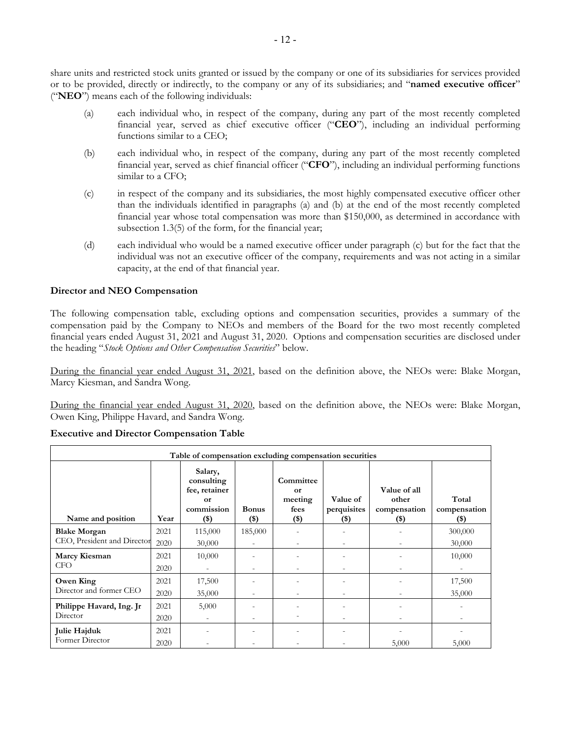share units and restricted stock units granted or issued by the company or one of its subsidiaries for services provided or to be provided, directly or indirectly, to the company or any of its subsidiaries; and "**named executive officer**" ("**NEO**") means each of the following individuals:

- (a) each individual who, in respect of the company, during any part of the most recently completed financial year, served as chief executive officer ("**CEO**"), including an individual performing functions similar to a CEO;
- (b) each individual who, in respect of the company, during any part of the most recently completed financial year, served as chief financial officer ("**CFO**"), including an individual performing functions similar to a CFO;
- (c) in respect of the company and its subsidiaries, the most highly compensated executive officer other than the individuals identified in paragraphs (a) and (b) at the end of the most recently completed financial year whose total compensation was more than \$150,000, as determined in accordance with subsection 1.3(5) of the form, for the financial year;
- (d) each individual who would be a named executive officer under paragraph (c) but for the fact that the individual was not an executive officer of the company, requirements and was not acting in a similar capacity, at the end of that financial year.

#### **Director and NEO Compensation**

The following compensation table, excluding options and compensation securities, provides a summary of the compensation paid by the Company to NEOs and members of the Board for the two most recently completed financial years ended August 31, 2021 and August 31, 2020. Options and compensation securities are disclosed under the heading "*Stock Options and Other Compensation Securities*" below.

During the financial year ended August 31, 2021, based on the definition above, the NEOs were: Blake Morgan, Marcy Kiesman, and Sandra Wong.

During the financial year ended August 31, 2020, based on the definition above, the NEOs were: Blake Morgan, Owen King, Philippe Havard, and Sandra Wong.

| Table of compensation excluding compensation securities |      |                                                                       |                          |                                                      |                                    |                                                  |                                  |  |  |
|---------------------------------------------------------|------|-----------------------------------------------------------------------|--------------------------|------------------------------------------------------|------------------------------------|--------------------------------------------------|----------------------------------|--|--|
| Name and position                                       | Year | Salary,<br>consulting<br>fee, retainer<br>or<br>commission<br>$($ \$) | <b>Bonus</b><br>$($ \$)  | Committee<br><b>or</b><br>meeting<br>fees<br>$($ \$) | Value of<br>perquisites<br>$($ \$) | Value of all<br>other<br>compensation<br>$($ \$) | Total<br>compensation<br>$($ \$) |  |  |
| <b>Blake Morgan</b>                                     | 2021 | 115,000                                                               | 185,000                  |                                                      |                                    |                                                  | 300,000                          |  |  |
| CEO, President and Director                             | 2020 | 30,000                                                                | $\overline{\phantom{a}}$ |                                                      |                                    |                                                  | 30,000                           |  |  |
| Marcy Kiesman                                           | 2021 | 10,000                                                                |                          |                                                      |                                    |                                                  | 10,000                           |  |  |
| CFO.                                                    | 2020 |                                                                       | $\overline{\phantom{a}}$ |                                                      |                                    |                                                  |                                  |  |  |
| Owen King                                               | 2021 | 17,500                                                                |                          |                                                      |                                    |                                                  | 17,500                           |  |  |
| Director and former CEO                                 | 2020 | 35,000                                                                |                          |                                                      |                                    |                                                  | 35,000                           |  |  |
| Philippe Havard, Ing. Jr<br>Director                    | 2021 | 5,000                                                                 |                          |                                                      |                                    |                                                  |                                  |  |  |
|                                                         | 2020 | $\overline{\phantom{a}}$                                              | -                        |                                                      |                                    |                                                  |                                  |  |  |
| Julie Hajduk<br>Former Director                         | 2021 |                                                                       |                          |                                                      |                                    |                                                  |                                  |  |  |
|                                                         | 2020 | $\overline{\phantom{a}}$                                              |                          |                                                      |                                    | 5,000                                            | 5,000                            |  |  |

**Executive and Director Compensation Table**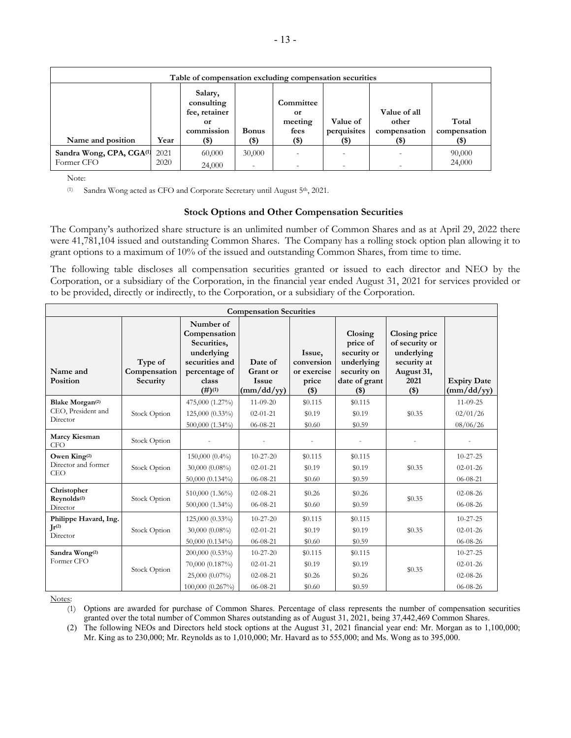| Table of compensation excluding compensation securities |              |                                                            |                                    |                                    |                         |                                       |                       |  |
|---------------------------------------------------------|--------------|------------------------------------------------------------|------------------------------------|------------------------------------|-------------------------|---------------------------------------|-----------------------|--|
|                                                         |              | Salary,<br>consulting<br>fee, retainer<br>or<br>commission | <b>Bonus</b>                       | Committee<br>оr<br>meeting<br>fees | Value of<br>perquisites | Value of all<br>other<br>compensation | Total<br>compensation |  |
| Name and position                                       | Year         | $($ \$)                                                    | $($ \$)                            | $($ \$)                            | (\$)                    | (\$)                                  | (\$)                  |  |
| Sandra Wong, CPA, CGA(1)<br>Former CFO                  | 2021<br>2020 | 60,000<br>24,000                                           | 30,000<br>$\overline{\phantom{a}}$ |                                    |                         |                                       | 90,000<br>24,000      |  |

Note:

(1) Sandra Wong acted as CFO and Corporate Secretary until August 5th, 2021.

#### **Stock Options and Other Compensation Securities**

The Company's authorized share structure is an unlimited number of Common Shares and as at April 29, 2022 there were 41,781,104 issued and outstanding Common Shares. The Company has a rolling stock option plan allowing it to grant options to a maximum of 10% of the issued and outstanding Common Shares, from time to time.

The following table discloses all compensation securities granted or issued to each director and NEO by the Corporation, or a subsidiary of the Corporation, in the financial year ended August 31, 2021 for services provided or to be provided, directly or indirectly, to the Corporation, or a subsidiary of the Corporation.

| <b>Compensation Securities</b>                                |                                     |                                                                                                              |                                                                                |                                                         |                                                                                             |                                                                                               |                                                                      |  |
|---------------------------------------------------------------|-------------------------------------|--------------------------------------------------------------------------------------------------------------|--------------------------------------------------------------------------------|---------------------------------------------------------|---------------------------------------------------------------------------------------------|-----------------------------------------------------------------------------------------------|----------------------------------------------------------------------|--|
| Name and<br>Position                                          | Type of<br>Compensation<br>Security | Number of<br>Compensation<br>Securities,<br>underlying<br>securities and<br>percentage of<br>class<br>(#)(1) | Date of<br>Grant or<br><b>Issue</b><br>$\frac{\text{mm}}{\text{dd}}\text{/yy}$ | Issue,<br>conversion<br>or exercise<br>price<br>$($ \$) | Closing<br>price of<br>security or<br>underlying<br>security on<br>date of grant<br>$($ \$) | Closing price<br>of security or<br>underlying<br>security at<br>August 31,<br>2021<br>$($ \$) | <b>Expiry Date</b><br>$\frac{m \cdot d}{dy}$                         |  |
| Blake Morgan <sup>(2)</sup><br>CEO, President and<br>Director | Stock Option                        | 475,000 (1.27%)<br>125,000 (0.33%)<br>500,000 (1.34%)                                                        | $11 - 09 - 20$<br>$02 - 01 - 21$<br>$06 - 08 - 21$                             | \$0.115<br>\$0.19<br>\$0.60                             | \$0.115<br>\$0.19<br>\$0.59                                                                 | \$0.35                                                                                        | $11-09-25$<br>02/01/26<br>08/06/26                                   |  |
| Marcy Kiesman<br><b>CFO</b>                                   | Stock Option                        |                                                                                                              |                                                                                |                                                         |                                                                                             |                                                                                               |                                                                      |  |
| Owen King <sup>(2)</sup><br>Director and former<br><b>CEO</b> | Stock Option                        | 150,000 (0.4%)<br>30,000 (0.08%)<br>50,000 (0.134%)                                                          | $10 - 27 - 20$<br>$02 - 01 - 21$<br>$06 - 08 - 21$                             | \$0.115<br>\$0.19<br>\$0.60                             | \$0.115<br>\$0.19<br>\$0.59                                                                 | \$0.35                                                                                        | $10 - 27 - 25$<br>$02 - 01 - 26$<br>$06 - 08 - 21$                   |  |
| Christopher<br>Reynolds <sup>(2)</sup><br>Director            | Stock Option                        | 510,000 (1.36%)<br>500,000 (1.34%)                                                                           | $02 - 08 - 21$<br>06-08-21                                                     | \$0.26<br>\$0.60                                        | \$0.26<br>\$0.59                                                                            | \$0.35                                                                                        | $02 - 08 - 26$<br>$06 - 08 - 26$                                     |  |
| Philippe Havard, Ing.<br>$\mathbf{I}$ r $(2)$<br>Director     | Stock Option                        | 125,000 (0.33%)<br>$30,000 (0.08\%)$<br>50,000 (0.134%)                                                      | $10 - 27 - 20$<br>$02 - 01 - 21$<br>06-08-21                                   | \$0.115<br>\$0.19<br>\$0.60                             | \$0.115<br>\$0.19<br>\$0.59                                                                 | \$0.35                                                                                        | $10 - 27 - 25$<br>$02 - 01 - 26$<br>06-08-26                         |  |
| Sandra Wong <sup>(2)</sup><br>Former CFO                      | Stock Option                        | 200,000 (0.53%)<br>70,000 (0.187%)<br>25,000 (0.07%)<br>100,000 (0.267%)                                     | $10 - 27 - 20$<br>$02 - 01 - 21$<br>$02 - 08 - 21$<br>$06 - 08 - 21$           | \$0.115<br>\$0.19<br>\$0.26<br>\$0.60                   | \$0.115<br>\$0.19<br>\$0.26<br>\$0.59                                                       | \$0.35                                                                                        | $10 - 27 - 25$<br>$02 - 01 - 26$<br>$02 - 08 - 26$<br>$06 - 08 - 26$ |  |

Notes:

(1) Options are awarded for purchase of Common Shares. Percentage of class represents the number of compensation securities granted over the total number of Common Shares outstanding as of August 31, 2021, being 37,442,469 Common Shares.

(2) The following NEOs and Directors held stock options at the August 31, 2021 financial year end: Mr. Morgan as to 1,100,000; Mr. King as to 230,000; Mr. Reynolds as to 1,010,000; Mr. Havard as to 555,000; and Ms. Wong as to 395,000.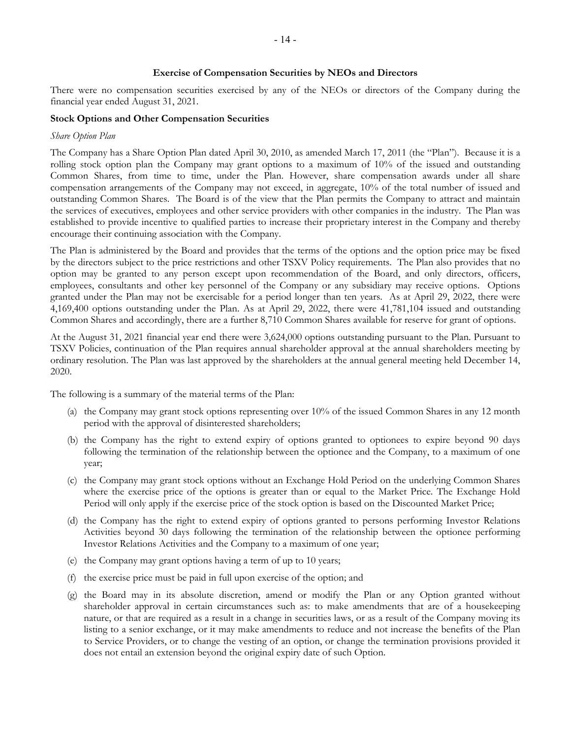#### **Exercise of Compensation Securities by NEOs and Directors**

There were no compensation securities exercised by any of the NEOs or directors of the Company during the financial year ended August 31, 2021.

#### **Stock Options and Other Compensation Securities**

#### *Share Option Plan*

The Company has a Share Option Plan dated April 30, 2010, as amended March 17, 2011 (the "Plan"). Because it is a rolling stock option plan the Company may grant options to a maximum of 10% of the issued and outstanding Common Shares, from time to time, under the Plan. However, share compensation awards under all share compensation arrangements of the Company may not exceed, in aggregate, 10% of the total number of issued and outstanding Common Shares. The Board is of the view that the Plan permits the Company to attract and maintain the services of executives, employees and other service providers with other companies in the industry. The Plan was established to provide incentive to qualified parties to increase their proprietary interest in the Company and thereby encourage their continuing association with the Company.

The Plan is administered by the Board and provides that the terms of the options and the option price may be fixed by the directors subject to the price restrictions and other TSXV Policy requirements. The Plan also provides that no option may be granted to any person except upon recommendation of the Board, and only directors, officers, employees, consultants and other key personnel of the Company or any subsidiary may receive options. Options granted under the Plan may not be exercisable for a period longer than ten years. As at April 29, 2022, there were 4,169,400 options outstanding under the Plan. As at April 29, 2022, there were 41,781,104 issued and outstanding Common Shares and accordingly, there are a further 8,710 Common Shares available for reserve for grant of options.

At the August 31, 2021 financial year end there were 3,624,000 options outstanding pursuant to the Plan. Pursuant to TSXV Policies, continuation of the Plan requires annual shareholder approval at the annual shareholders meeting by ordinary resolution. The Plan was last approved by the shareholders at the annual general meeting held December 14, 2020.

The following is a summary of the material terms of the Plan:

- (a) the Company may grant stock options representing over 10% of the issued Common Shares in any 12 month period with the approval of disinterested shareholders;
- (b) the Company has the right to extend expiry of options granted to optionees to expire beyond 90 days following the termination of the relationship between the optionee and the Company, to a maximum of one year;
- (c) the Company may grant stock options without an Exchange Hold Period on the underlying Common Shares where the exercise price of the options is greater than or equal to the Market Price. The Exchange Hold Period will only apply if the exercise price of the stock option is based on the Discounted Market Price;
- (d) the Company has the right to extend expiry of options granted to persons performing Investor Relations Activities beyond 30 days following the termination of the relationship between the optionee performing Investor Relations Activities and the Company to a maximum of one year;
- (e) the Company may grant options having a term of up to 10 years;
- (f) the exercise price must be paid in full upon exercise of the option; and
- (g) the Board may in its absolute discretion, amend or modify the Plan or any Option granted without shareholder approval in certain circumstances such as: to make amendments that are of a housekeeping nature, or that are required as a result in a change in securities laws, or as a result of the Company moving its listing to a senior exchange, or it may make amendments to reduce and not increase the benefits of the Plan to Service Providers, or to change the vesting of an option, or change the termination provisions provided it does not entail an extension beyond the original expiry date of such Option.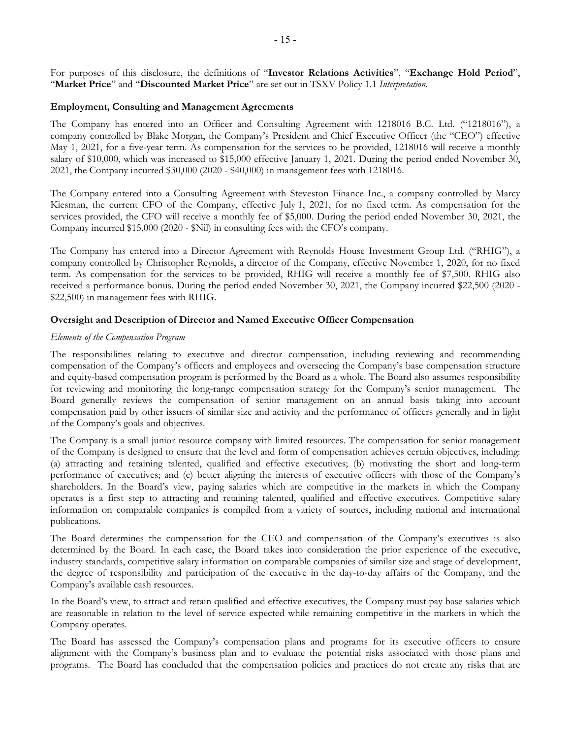For purposes of this disclosure, the definitions of "**Investor Relations Activities**", "**Exchange Hold Period**", "**Market Price**" and "**Discounted Market Price**" are set out in TSXV Policy 1.1 *Interpretation*.

#### **Employment, Consulting and Management Agreements**

The Company has entered into an Officer and Consulting Agreement with 1218016 B.C. Ltd. ("1218016"), a company controlled by Blake Morgan, the Company's President and Chief Executive Officer (the "CEO") effective May 1, 2021, for a five-year term. As compensation for the services to be provided, 1218016 will receive a monthly salary of \$10,000, which was increased to \$15,000 effective January 1, 2021. During the period ended November 30, 2021, the Company incurred \$30,000 (2020 - \$40,000) in management fees with 1218016.

The Company entered into a Consulting Agreement with Steveston Finance Inc., a company controlled by Marcy Kiesman, the current CFO of the Company, effective July 1, 2021, for no fixed term. As compensation for the services provided, the CFO will receive a monthly fee of \$5,000. During the period ended November 30, 2021, the Company incurred \$15,000 (2020 - \$Nil) in consulting fees with the CFO's company.

The Company has entered into a Director Agreement with Reynolds House Investment Group Ltd. ("RHIG"), a company controlled by Christopher Reynolds, a director of the Company, effective November 1, 2020, for no fixed term. As compensation for the services to be provided, RHIG will receive a monthly fee of \$7,500. RHIG also received a performance bonus. During the period ended November 30, 2021, the Company incurred \$22,500 (2020 - \$22,500) in management fees with RHIG.

#### **Oversight and Description of Director and Named Executive Officer Compensation**

#### *Elements of the Compensation Program*

The responsibilities relating to executive and director compensation, including reviewing and recommending compensation of the Company's officers and employees and overseeing the Company's base compensation structure and equity-based compensation program is performed by the Board as a whole. The Board also assumes responsibility for reviewing and monitoring the long-range compensation strategy for the Company's senior management. The Board generally reviews the compensation of senior management on an annual basis taking into account compensation paid by other issuers of similar size and activity and the performance of officers generally and in light of the Company's goals and objectives.

The Company is a small junior resource company with limited resources. The compensation for senior management of the Company is designed to ensure that the level and form of compensation achieves certain objectives, including: (a) attracting and retaining talented, qualified and effective executives; (b) motivating the short and long-term performance of executives; and (c) better aligning the interests of executive officers with those of the Company's shareholders. In the Board's view, paying salaries which are competitive in the markets in which the Company operates is a first step to attracting and retaining talented, qualified and effective executives. Competitive salary information on comparable companies is compiled from a variety of sources, including national and international publications.

The Board determines the compensation for the CEO and compensation of the Company's executives is also determined by the Board. In each case, the Board takes into consideration the prior experience of the executive, industry standards, competitive salary information on comparable companies of similar size and stage of development, the degree of responsibility and participation of the executive in the day-to-day affairs of the Company, and the Company's available cash resources.

In the Board's view, to attract and retain qualified and effective executives, the Company must pay base salaries which are reasonable in relation to the level of service expected while remaining competitive in the markets in which the Company operates.

The Board has assessed the Company's compensation plans and programs for its executive officers to ensure alignment with the Company's business plan and to evaluate the potential risks associated with those plans and programs. The Board has concluded that the compensation policies and practices do not create any risks that are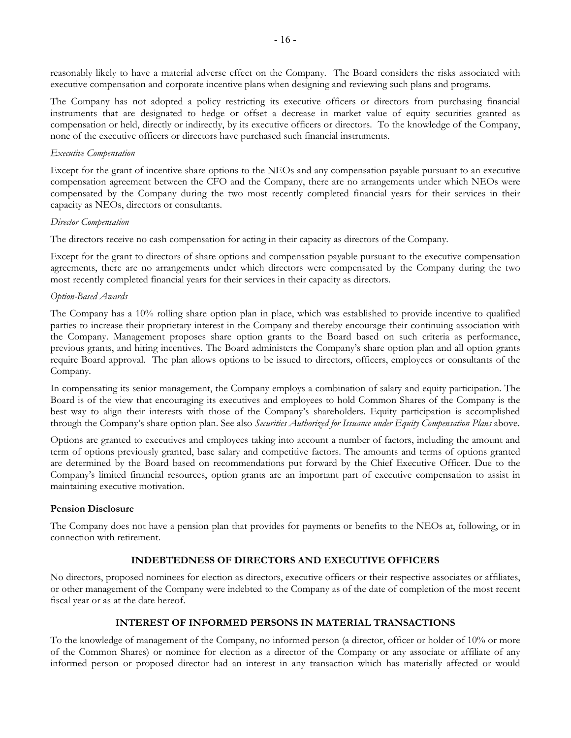reasonably likely to have a material adverse effect on the Company. The Board considers the risks associated with executive compensation and corporate incentive plans when designing and reviewing such plans and programs.

The Company has not adopted a policy restricting its executive officers or directors from purchasing financial instruments that are designated to hedge or offset a decrease in market value of equity securities granted as compensation or held, directly or indirectly, by its executive officers or directors. To the knowledge of the Company, none of the executive officers or directors have purchased such financial instruments.

#### *Executive Compensation*

Except for the grant of incentive share options to the NEOs and any compensation payable pursuant to an executive compensation agreement between the CFO and the Company, there are no arrangements under which NEOs were compensated by the Company during the two most recently completed financial years for their services in their capacity as NEOs, directors or consultants.

#### *Director Compensation*

The directors receive no cash compensation for acting in their capacity as directors of the Company.

Except for the grant to directors of share options and compensation payable pursuant to the executive compensation agreements, there are no arrangements under which directors were compensated by the Company during the two most recently completed financial years for their services in their capacity as directors.

#### *Option-Based Awards*

The Company has a 10% rolling share option plan in place, which was established to provide incentive to qualified parties to increase their proprietary interest in the Company and thereby encourage their continuing association with the Company. Management proposes share option grants to the Board based on such criteria as performance, previous grants, and hiring incentives. The Board administers the Company's share option plan and all option grants require Board approval. The plan allows options to be issued to directors, officers, employees or consultants of the Company.

In compensating its senior management, the Company employs a combination of salary and equity participation. The Board is of the view that encouraging its executives and employees to hold Common Shares of the Company is the best way to align their interests with those of the Company's shareholders. Equity participation is accomplished through the Company's share option plan. See also *Securities Authorized for Issuance under Equity Compensation Plans* above.

Options are granted to executives and employees taking into account a number of factors, including the amount and term of options previously granted, base salary and competitive factors. The amounts and terms of options granted are determined by the Board based on recommendations put forward by the Chief Executive Officer. Due to the Company's limited financial resources, option grants are an important part of executive compensation to assist in maintaining executive motivation.

#### **Pension Disclosure**

The Company does not have a pension plan that provides for payments or benefits to the NEOs at, following, or in connection with retirement.

#### **INDEBTEDNESS OF DIRECTORS AND EXECUTIVE OFFICERS**

No directors, proposed nominees for election as directors, executive officers or their respective associates or affiliates, or other management of the Company were indebted to the Company as of the date of completion of the most recent fiscal year or as at the date hereof.

#### **INTEREST OF INFORMED PERSONS IN MATERIAL TRANSACTIONS**

To the knowledge of management of the Company, no informed person (a director, officer or holder of 10% or more of the Common Shares) or nominee for election as a director of the Company or any associate or affiliate of any informed person or proposed director had an interest in any transaction which has materially affected or would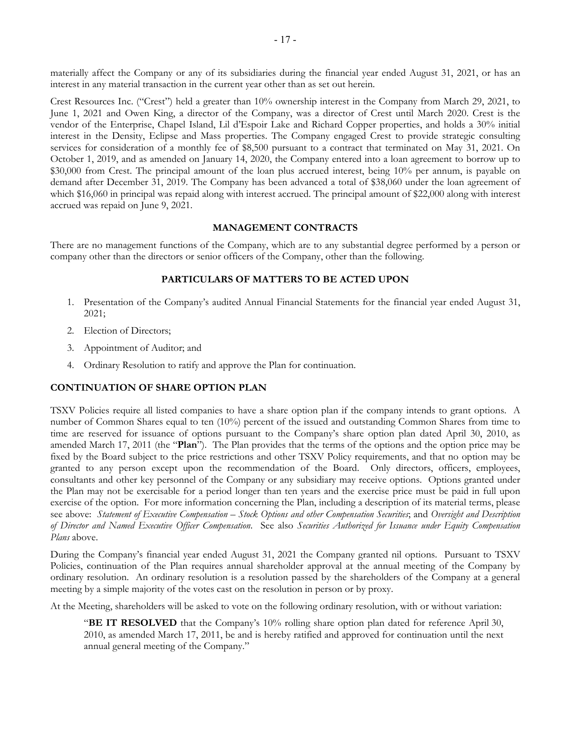materially affect the Company or any of its subsidiaries during the financial year ended August 31, 2021, or has an interest in any material transaction in the current year other than as set out herein.

Crest Resources Inc. ("Crest") held a greater than 10% ownership interest in the Company from March 29, 2021, to June 1, 2021 and Owen King, a director of the Company, was a director of Crest until March 2020. Crest is the vendor of the Enterprise, Chapel Island, Lil d'Espoir Lake and Richard Copper properties, and holds a 30% initial interest in the Density, Eclipse and Mass properties. The Company engaged Crest to provide strategic consulting services for consideration of a monthly fee of \$8,500 pursuant to a contract that terminated on May 31, 2021. On October 1, 2019, and as amended on January 14, 2020, the Company entered into a loan agreement to borrow up to \$30,000 from Crest. The principal amount of the loan plus accrued interest, being 10% per annum, is payable on demand after December 31, 2019. The Company has been advanced a total of \$38,060 under the loan agreement of which \$16,060 in principal was repaid along with interest accrued. The principal amount of \$22,000 along with interest accrued was repaid on June 9, 2021.

#### **MANAGEMENT CONTRACTS**

There are no management functions of the Company, which are to any substantial degree performed by a person or company other than the directors or senior officers of the Company, other than the following.

#### **PARTICULARS OF MATTERS TO BE ACTED UPON**

- 1. Presentation of the Company's audited Annual Financial Statements for the financial year ended August 31, 2021;
- 2. Election of Directors;
- 3. Appointment of Auditor; and
- 4. Ordinary Resolution to ratify and approve the Plan for continuation.

#### **CONTINUATION OF SHARE OPTION PLAN**

TSXV Policies require all listed companies to have a share option plan if the company intends to grant options. A number of Common Shares equal to ten (10%) percent of the issued and outstanding Common Shares from time to time are reserved for issuance of options pursuant to the Company's share option plan dated April 30, 2010, as amended March 17, 2011 (the "**Plan**"). The Plan provides that the terms of the options and the option price may be fixed by the Board subject to the price restrictions and other TSXV Policy requirements, and that no option may be granted to any person except upon the recommendation of the Board. Only directors, officers, employees, consultants and other key personnel of the Company or any subsidiary may receive options. Options granted under the Plan may not be exercisable for a period longer than ten years and the exercise price must be paid in full upon exercise of the option. For more information concerning the Plan, including a description of its material terms, please see above: *Statement of Executive Compensation* – *Stock Options and other Compensation Securities*; and *Oversight and Description of Director and Named Executive Officer Compensation*. See also *Securities Authorized for Issuance under Equity Compensation Plans* above.

During the Company's financial year ended August 31, 2021 the Company granted nil options. Pursuant to TSXV Policies, continuation of the Plan requires annual shareholder approval at the annual meeting of the Company by ordinary resolution. An ordinary resolution is a resolution passed by the shareholders of the Company at a general meeting by a simple majority of the votes cast on the resolution in person or by proxy.

At the Meeting, shareholders will be asked to vote on the following ordinary resolution, with or without variation:

"**BE IT RESOLVED** that the Company's 10% rolling share option plan dated for reference April 30, 2010, as amended March 17, 2011, be and is hereby ratified and approved for continuation until the next annual general meeting of the Company."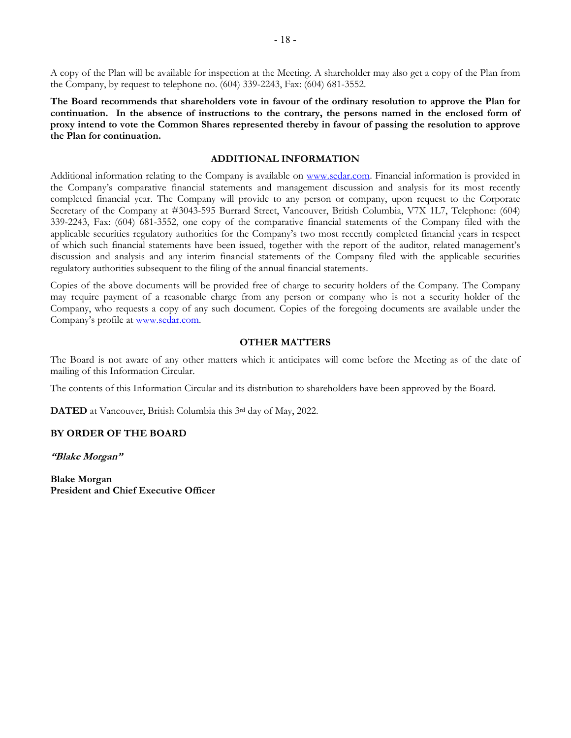A copy of the Plan will be available for inspection at the Meeting. A shareholder may also get a copy of the Plan from the Company, by request to telephone no. (604) 339-2243, Fax: (604) 681-3552.

**The Board recommends that shareholders vote in favour of the ordinary resolution to approve the Plan for continuation. In the absence of instructions to the contrary, the persons named in the enclosed form of proxy intend to vote the Common Shares represented thereby in favour of passing the resolution to approve the Plan for continuation.** 

#### **ADDITIONAL INFORMATION**

Additional information relating to the Company is available on www.sedar.com. Financial information is provided in the Company's comparative financial statements and management discussion and analysis for its most recently completed financial year. The Company will provide to any person or company, upon request to the Corporate Secretary of the Company at #3043-595 Burrard Street, Vancouver, British Columbia, V7X 1L7, Telephone: (604) 339-2243, Fax: (604) 681-3552, one copy of the comparative financial statements of the Company filed with the applicable securities regulatory authorities for the Company's two most recently completed financial years in respect of which such financial statements have been issued, together with the report of the auditor, related management's discussion and analysis and any interim financial statements of the Company filed with the applicable securities regulatory authorities subsequent to the filing of the annual financial statements.

Copies of the above documents will be provided free of charge to security holders of the Company. The Company may require payment of a reasonable charge from any person or company who is not a security holder of the Company, who requests a copy of any such document. Copies of the foregoing documents are available under the Company's profile at www.sedar.com.

#### **OTHER MATTERS**

The Board is not aware of any other matters which it anticipates will come before the Meeting as of the date of mailing of this Information Circular.

The contents of this Information Circular and its distribution to shareholders have been approved by the Board.

**DATED** at Vancouver, British Columbia this 3rd day of May, 2022.

#### **BY ORDER OF THE BOARD**

**"Blake Morgan"** 

**Blake Morgan President and Chief Executive Officer**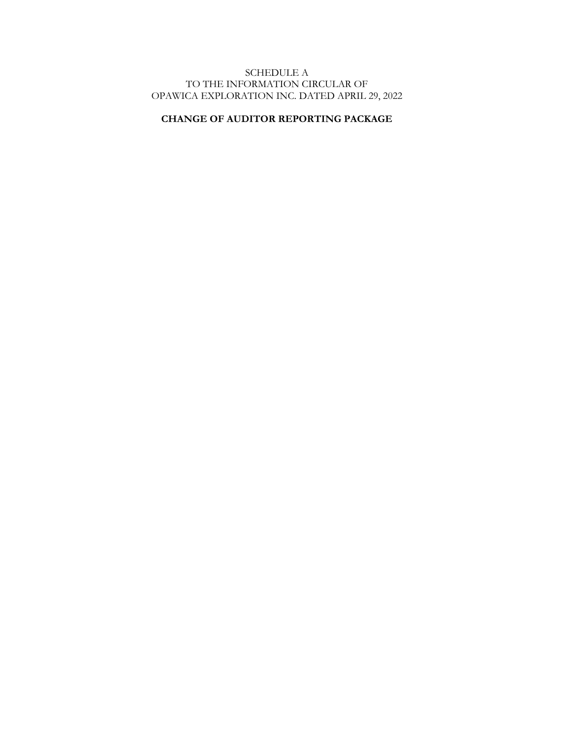# SCHEDULE A TO THE INFORMATION CIRCULAR OF OPAWICA EXPLORATION INC. DATED APRIL 29, 2022

# **CHANGE OF AUDITOR REPORTING PACKAGE**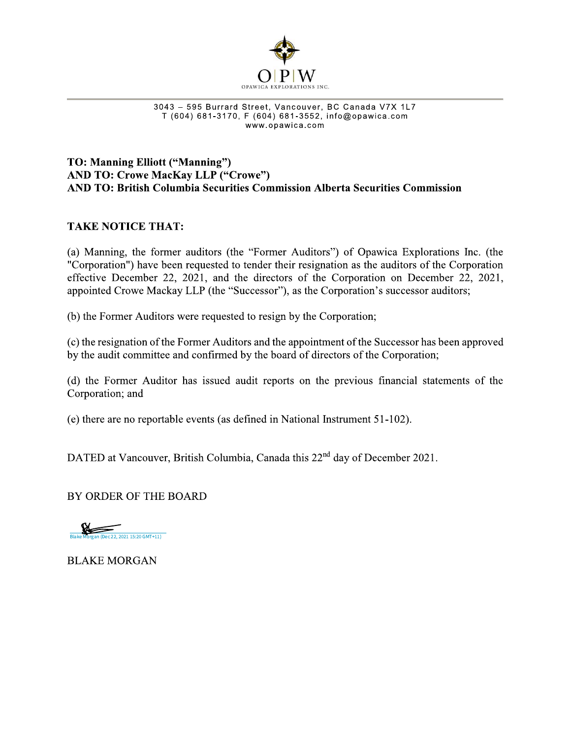

and the Section of Street, Vancouver, BC Canada V7X 1L7  $1$  (604) 681-3170, F (604) 681-35

# THE SERVICA EXPLORATIONS INC.<br>
THE STRIDGE STRIDGE STRIDGE STRIDGE STRIDGE STRIDGE STRIDGE STRIDGE STRIDGE STRIDGE STRIDGE STRIDGE STRIDGE STRIDGE STRIDGE STRIDGE STRIDGE STRIDGE STRIDGE STRIDGE STRIDGE STRIDGE STRIDGE STR TO: Manning Elliott ("Manning") AND TO: Crowe MacKay LLP ("Crowe") AND TO: British Columbia Securities Commission Alberta Securities Commission

# TAKE NOTICE THAT:

i.<br>Lihat (a) Manning, the former auditors (the "Former Auditors") of Opawica Explorations Inc. (the "Corporation") have been requested to tender their resignation as the auditors of the Corporation effective December 22, 2021, and the directors of the Corporation on December 22, 2021, appointed Crowe Mackay LLP (the "Successor"), as the Corporation's successor auditors;

il.<br>Lin (b) the Former Auditors were requested to resign by the Corporation;

i.<br>Do (c) the resignation of the Former Auditors and the appointment of the Successor has been approved by the audit committee and confirmed by the board of directors of the Corporation;

il.<br>Lin (d) the Former Auditor has issued audit reports on the previous financial statements of the Corporation; and

(e) there are no reportable events (as defined in National Instrument 51-102).

DATED at Vancouver, British Columbia, Canada this 22<sup>nd</sup> day of December 2021.

BY ORDER OF THE BOARD



**BLAKE MORGAN**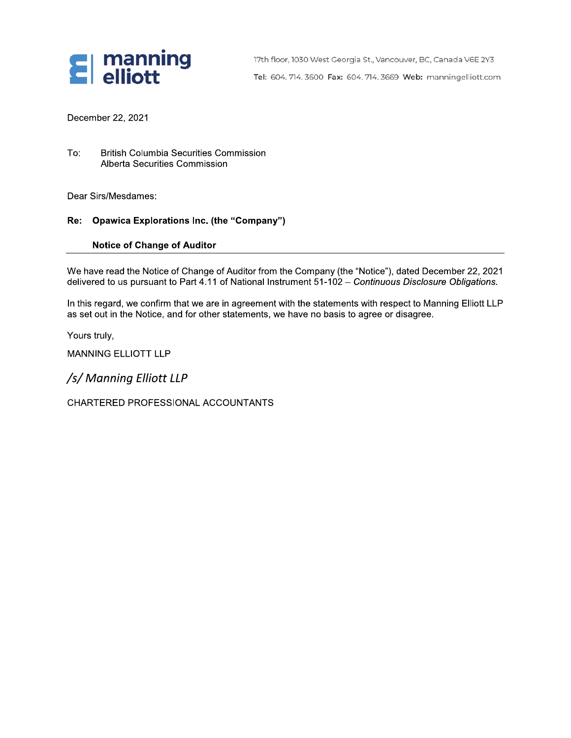

17th floor, 1030 West Georgia St., Vancouver, BC, Canada V6E 2Y3 Tel: 604.714.3600 Fax: 604.714.3669 Web: manningelliott.com

December 22, 2021

To: British Columbia Securities Commission Alberta Securities Commission

Dear Sirs/Mesdames:

# Re: Opawica Explorations Inc. (the "Company")

#### Notice of Change of Auditor

To: British Columbia Securities Commission<br>Alberta Securities Commission<br>Dear Sirs/Mesdames:<br>**Re: Opawica Explorations Inc. (the "Company")**<br>Notice of Change of Auditor<br>We have read the Notice of Change of Auditor from the We have read the Notice of Change of Auditor from the Company (the "Notice"), dated December 22, 2021 delivered to us pursuant to Part 4.11 of National Instrument 51-102 – C*ontinuous Disclosure Obligations.* 

i<br>L In this regard, we confirm that we are in agreement with the statements with respect to Manning Elliott LLP as set out in the Notice, and for other statements, we have no basis to agree or disagree.

li. Yours truly,

MANNING ELLIOTT LLP

/s/ Manning Elliott LLP

CHARTERED PROFESSIONAL ACCOUNTANTS